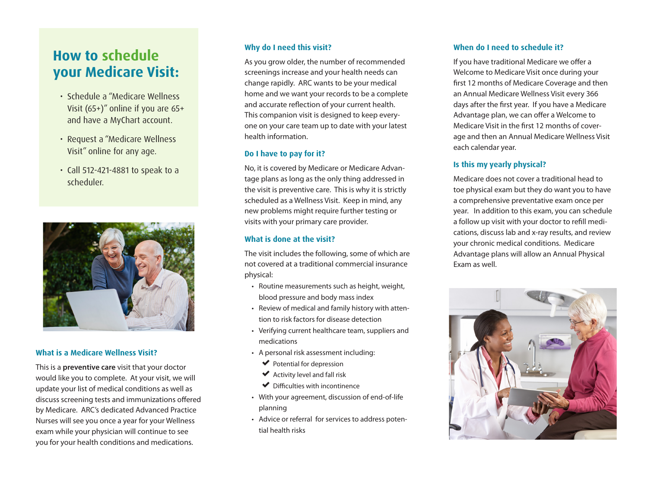# **How to schedule your Medicare Visit:**

- Schedule a "Medicare Wellness Visit (65+)" online if you are 65+ and have a MyChart account.
- Request a "Medicare Wellness Visit" online for any age.
- Call 512-421-4881 to speak to a scheduler.



# **What is a Medicare Wellness Visit?**

This is a **preventive care** visit that your doctor would like you to complete. At your visit, we will update your list of medical conditions as well as discuss screening tests and immunizations offered by Medicare. ARC's dedicated Advanced Practice Nurses will see you once a year for your Wellness exam while your physician will continue to see you for your health conditions and medications.

#### **Why do I need this visit?**

As you grow older, the number of recommended screenings increase and your health needs can change rapidly. ARC wants to be your medical home and we want your records to be a complete and accurate reflection of your current health. This companion visit is designed to keep everyone on your care team up to date with your latest health information.

## **Do I have to pay for it?**

No, it is covered by Medicare or Medicare Advantage plans as long as the only thing addressed in the visit is preventive care. This is why it is strictly scheduled as a Wellness Visit. Keep in mind, any new problems might require further testing or visits with your primary care provider.

# **What is done at the visit?**

The visit includes the following, some of which are not covered at a traditional commercial insurance physical:

- Routine measurements such as height, weight, blood pressure and body mass index
- Review of medical and family history with attention to risk factors for disease detection
- Verifying current healthcare team, suppliers and medications
- A personal risk assessment including:
	- $\blacktriangleright$  Potential for depression
	- $\blacktriangleright$  Activity level and fall risk
	- $\blacktriangleright$  Difficulties with incontinence
- With your agreement, discussion of end-of-life planning
- Advice or referral for services to address potential health risks

#### **When do I need to schedule it?**

If you have traditional Medicare we offer a Welcome to Medicare Visit once during your first 12 months of Medicare Coverage and then an Annual Medicare Wellness Visit every 366 days after the first year. If you have a Medicare Advantage plan, we can offer a Welcome to Medicare Visit in the first 12 months of coverage and then an Annual Medicare Wellness Visit each calendar year.

# **Is this my yearly physical?**

Medicare does not cover a traditional head to toe physical exam but they do want you to have a comprehensive preventative exam once per year. In addition to this exam, you can schedule a follow up visit with your doctor to refill medications, discuss lab and x-ray results, and review your chronic medical conditions. Medicare Advantage plans will allow an Annual Physical Exam as well.